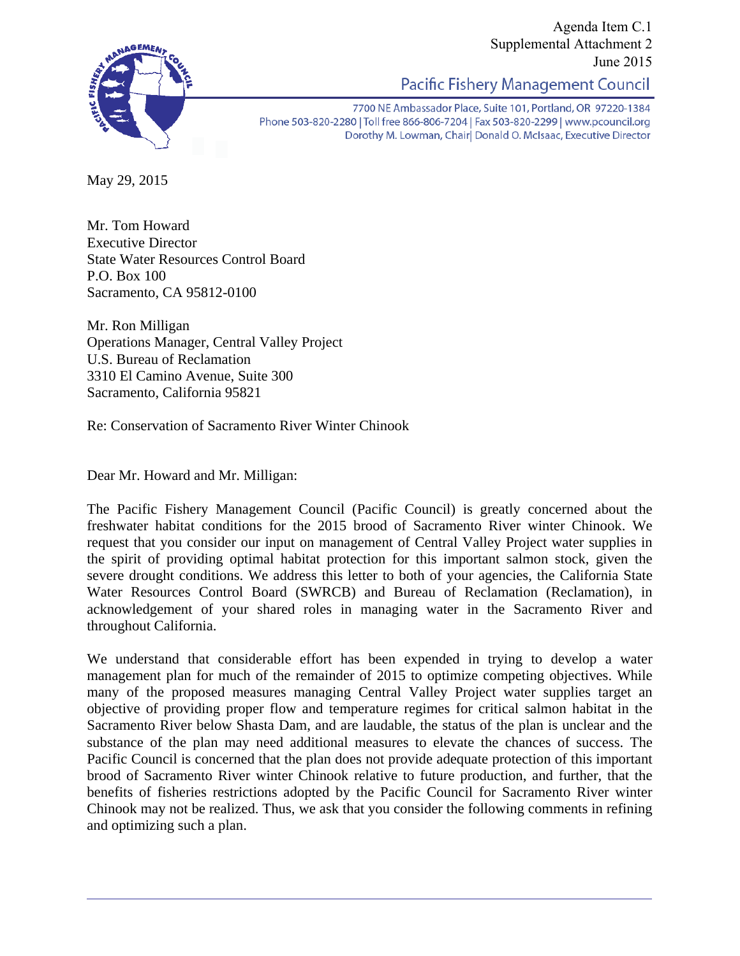

Agenda Item C.1 Supplemental Attachment 2 June 2015

Pacific Fishery Management Council

7700 NE Ambassador Place, Suite 101, Portland, OR 97220-1384 Phone 503-820-2280 | Toll free 866-806-7204 | Fax 503-820-2299 | www.pcouncil.org Dorothy M. Lowman, Chair | Donald O. McIsaac, Executive Director

May 29, 2015

Mr. Tom Howard Executive Director State Water Resources Control Board P.O. Box 100 Sacramento, CA 95812-0100

Mr. Ron Milligan Operations Manager, Central Valley Project U.S. Bureau of Reclamation 3310 El Camino Avenue, Suite 300 Sacramento, California 95821

Re: Conservation of Sacramento River Winter Chinook

Dear Mr. Howard and Mr. Milligan:

The Pacific Fishery Management Council (Pacific Council) is greatly concerned about the freshwater habitat conditions for the 2015 brood of Sacramento River winter Chinook. We request that you consider our input on management of Central Valley Project water supplies in the spirit of providing optimal habitat protection for this important salmon stock, given the severe drought conditions. We address this letter to both of your agencies, the California State Water Resources Control Board (SWRCB) and Bureau of Reclamation (Reclamation), in acknowledgement of your shared roles in managing water in the Sacramento River and throughout California.

We understand that considerable effort has been expended in trying to develop a water management plan for much of the remainder of 2015 to optimize competing objectives. While many of the proposed measures managing Central Valley Project water supplies target an objective of providing proper flow and temperature regimes for critical salmon habitat in the Sacramento River below Shasta Dam, and are laudable, the status of the plan is unclear and the substance of the plan may need additional measures to elevate the chances of success. The Pacific Council is concerned that the plan does not provide adequate protection of this important brood of Sacramento River winter Chinook relative to future production, and further, that the benefits of fisheries restrictions adopted by the Pacific Council for Sacramento River winter Chinook may not be realized. Thus, we ask that you consider the following comments in refining and optimizing such a plan.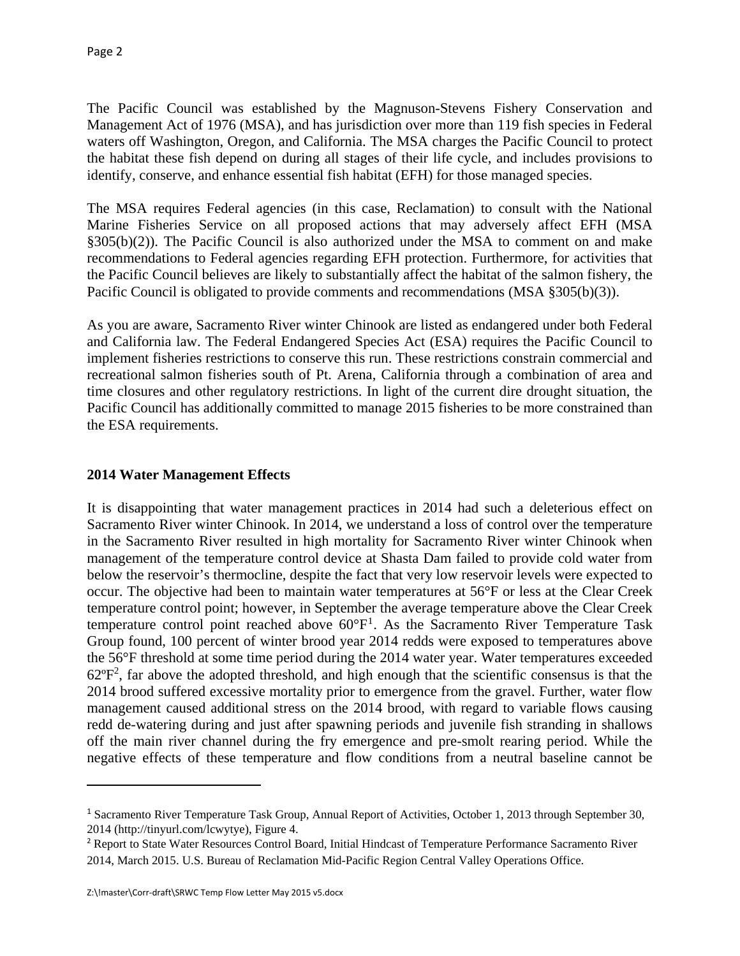The Pacific Council was established by the Magnuson-Stevens Fishery Conservation and Management Act of 1976 (MSA), and has jurisdiction over more than 119 fish species in Federal waters off Washington, Oregon, and California. The MSA charges the Pacific Council to protect the habitat these fish depend on during all stages of their life cycle, and includes provisions to identify, conserve, and enhance essential fish habitat (EFH) for those managed species.

The MSA requires Federal agencies (in this case, Reclamation) to consult with the National Marine Fisheries Service on all proposed actions that may adversely affect EFH (MSA §305(b)(2)). The Pacific Council is also authorized under the MSA to comment on and make recommendations to Federal agencies regarding EFH protection. Furthermore, for activities that the Pacific Council believes are likely to substantially affect the habitat of the salmon fishery, the Pacific Council is obligated to provide comments and recommendations (MSA §305(b)(3)).

As you are aware, Sacramento River winter Chinook are listed as endangered under both Federal and California law. The Federal Endangered Species Act (ESA) requires the Pacific Council to implement fisheries restrictions to conserve this run. These restrictions constrain commercial and recreational salmon fisheries south of Pt. Arena, California through a combination of area and time closures and other regulatory restrictions. In light of the current dire drought situation, the Pacific Council has additionally committed to manage 2015 fisheries to be more constrained than the ESA requirements.

## **2014 Water Management Effects**

It is disappointing that water management practices in 2014 had such a deleterious effect on Sacramento River winter Chinook. In 2014, we understand a loss of control over the temperature in the Sacramento River resulted in high mortality for Sacramento River winter Chinook when management of the temperature control device at Shasta Dam failed to provide cold water from below the reservoir's thermocline, despite the fact that very low reservoir levels were expected to occur. The objective had been to maintain water temperatures at 56°F or less at the Clear Creek temperature control point; however, in September the average temperature above the Clear Creek temperature control point reached above 60°F1. As the Sacramento River Temperature Task Group found, 100 percent of winter brood year 2014 redds were exposed to temperatures above the 56°F threshold at some time period during the 2014 water year. Water temperatures exceeded  $62^{\circ}F^2$ , far above the adopted threshold, and high enough that the scientific consensus is that the 2014 brood suffered excessive mortality prior to emergence from the gravel. Further, water flow management caused additional stress on the 2014 brood, with regard to variable flows causing redd de-watering during and just after spawning periods and juvenile fish stranding in shallows off the main river channel during the fry emergence and pre-smolt rearing period. While the negative effects of these temperature and flow conditions from a neutral baseline cannot be

<sup>&</sup>lt;sup>1</sup> Sacramento River Temperature Task Group, Annual Report of Activities, October 1, 2013 through September 30, 2014 (http://tinyurl.com/lcwytye), Figure 4.

<sup>2</sup> Report to State Water Resources Control Board, Initial Hindcast of Temperature Performance Sacramento River 2014, March 2015. U.S. Bureau of Reclamation Mid-Pacific Region Central Valley Operations Office.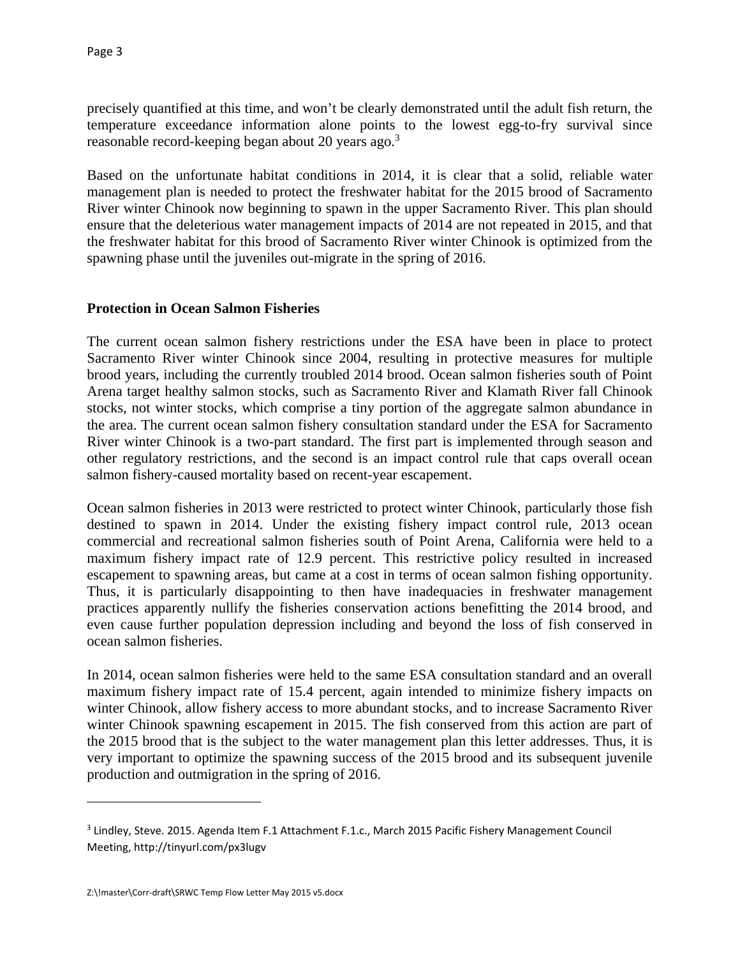precisely quantified at this time, and won't be clearly demonstrated until the adult fish return, the temperature exceedance information alone points to the lowest egg-to-fry survival since reasonable record-keeping began about 20 years ago.<sup>3</sup>

Based on the unfortunate habitat conditions in 2014, it is clear that a solid, reliable water management plan is needed to protect the freshwater habitat for the 2015 brood of Sacramento River winter Chinook now beginning to spawn in the upper Sacramento River. This plan should ensure that the deleterious water management impacts of 2014 are not repeated in 2015, and that the freshwater habitat for this brood of Sacramento River winter Chinook is optimized from the spawning phase until the juveniles out-migrate in the spring of 2016.

### **Protection in Ocean Salmon Fisheries**

The current ocean salmon fishery restrictions under the ESA have been in place to protect Sacramento River winter Chinook since 2004, resulting in protective measures for multiple brood years, including the currently troubled 2014 brood. Ocean salmon fisheries south of Point Arena target healthy salmon stocks, such as Sacramento River and Klamath River fall Chinook stocks, not winter stocks, which comprise a tiny portion of the aggregate salmon abundance in the area. The current ocean salmon fishery consultation standard under the ESA for Sacramento River winter Chinook is a two-part standard. The first part is implemented through season and other regulatory restrictions, and the second is an impact control rule that caps overall ocean salmon fishery-caused mortality based on recent-year escapement.

Ocean salmon fisheries in 2013 were restricted to protect winter Chinook, particularly those fish destined to spawn in 2014. Under the existing fishery impact control rule, 2013 ocean commercial and recreational salmon fisheries south of Point Arena, California were held to a maximum fishery impact rate of 12.9 percent. This restrictive policy resulted in increased escapement to spawning areas, but came at a cost in terms of ocean salmon fishing opportunity. Thus, it is particularly disappointing to then have inadequacies in freshwater management practices apparently nullify the fisheries conservation actions benefitting the 2014 brood, and even cause further population depression including and beyond the loss of fish conserved in ocean salmon fisheries.

In 2014, ocean salmon fisheries were held to the same ESA consultation standard and an overall maximum fishery impact rate of 15.4 percent, again intended to minimize fishery impacts on winter Chinook, allow fishery access to more abundant stocks, and to increase Sacramento River winter Chinook spawning escapement in 2015. The fish conserved from this action are part of the 2015 brood that is the subject to the water management plan this letter addresses. Thus, it is very important to optimize the spawning success of the 2015 brood and its subsequent juvenile production and outmigration in the spring of 2016.

<sup>&</sup>lt;sup>3</sup> Lindley, Steve. 2015. Agenda Item F.1 Attachment F.1.c., March 2015 Pacific Fishery Management Council Meeting, http://tinyurl.com/px3lugv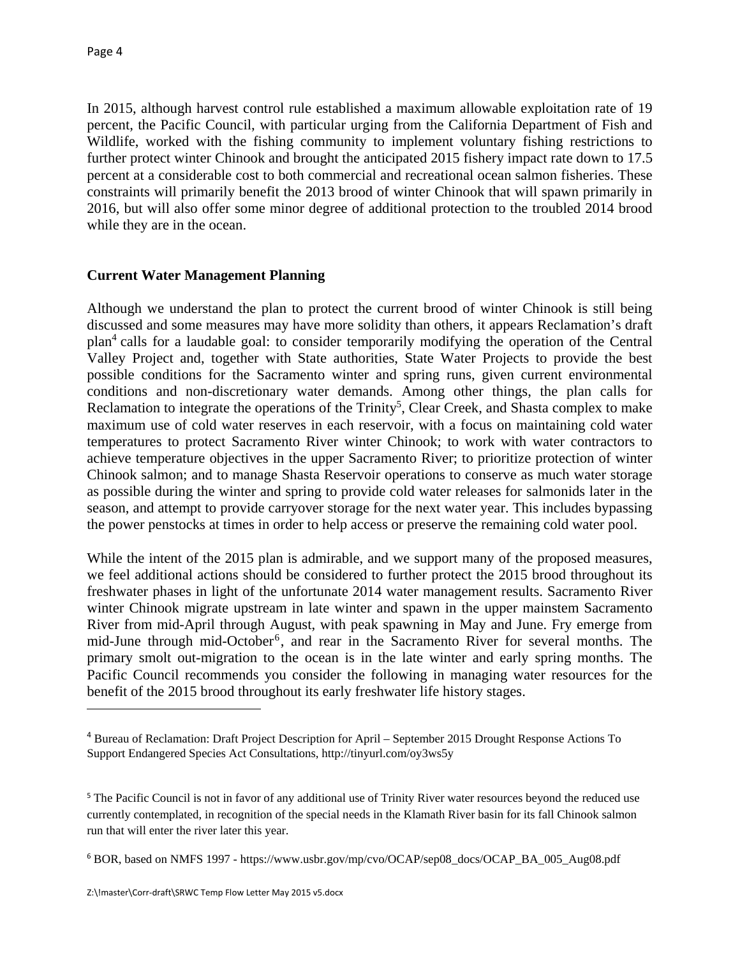In 2015, although harvest control rule established a maximum allowable exploitation rate of 19 percent, the Pacific Council, with particular urging from the California Department of Fish and Wildlife, worked with the fishing community to implement voluntary fishing restrictions to further protect winter Chinook and brought the anticipated 2015 fishery impact rate down to 17.5 percent at a considerable cost to both commercial and recreational ocean salmon fisheries. These constraints will primarily benefit the 2013 brood of winter Chinook that will spawn primarily in 2016, but will also offer some minor degree of additional protection to the troubled 2014 brood while they are in the ocean.

## **Current Water Management Planning**

Although we understand the plan to protect the current brood of winter Chinook is still being discussed and some measures may have more solidity than others, it appears Reclamation's draft plan<sup>4</sup> calls for a laudable goal: to consider temporarily modifying the operation of the Central Valley Project and, together with State authorities, State Water Projects to provide the best possible conditions for the Sacramento winter and spring runs, given current environmental conditions and non-discretionary water demands. Among other things, the plan calls for Reclamation to integrate the operations of the Trinity<sup>5</sup>, Clear Creek, and Shasta complex to make maximum use of cold water reserves in each reservoir, with a focus on maintaining cold water temperatures to protect Sacramento River winter Chinook; to work with water contractors to achieve temperature objectives in the upper Sacramento River; to prioritize protection of winter Chinook salmon; and to manage Shasta Reservoir operations to conserve as much water storage as possible during the winter and spring to provide cold water releases for salmonids later in the season, and attempt to provide carryover storage for the next water year. This includes bypassing the power penstocks at times in order to help access or preserve the remaining cold water pool.

While the intent of the 2015 plan is admirable, and we support many of the proposed measures, we feel additional actions should be considered to further protect the 2015 brood throughout its freshwater phases in light of the unfortunate 2014 water management results. Sacramento River winter Chinook migrate upstream in late winter and spawn in the upper mainstem Sacramento River from mid-April through August, with peak spawning in May and June. Fry emerge from mid-June through mid-October<sup>6</sup>, and rear in the Sacramento River for several months. The primary smolt out-migration to the ocean is in the late winter and early spring months. The Pacific Council recommends you consider the following in managing water resources for the benefit of the 2015 brood throughout its early freshwater life history stages.

<sup>4</sup> Bureau of Reclamation: Draft Project Description for April – September 2015 Drought Response Actions To Support Endangered Species Act Consultations, http://tinyurl.com/oy3ws5y

<sup>&</sup>lt;sup>5</sup> The Pacific Council is not in favor of any additional use of Trinity River water resources beyond the reduced use currently contemplated, in recognition of the special needs in the Klamath River basin for its fall Chinook salmon run that will enter the river later this year.

<sup>6</sup> BOR, based on NMFS 1997 - https://www.usbr.gov/mp/cvo/OCAP/sep08\_docs/OCAP\_BA\_005\_Aug08.pdf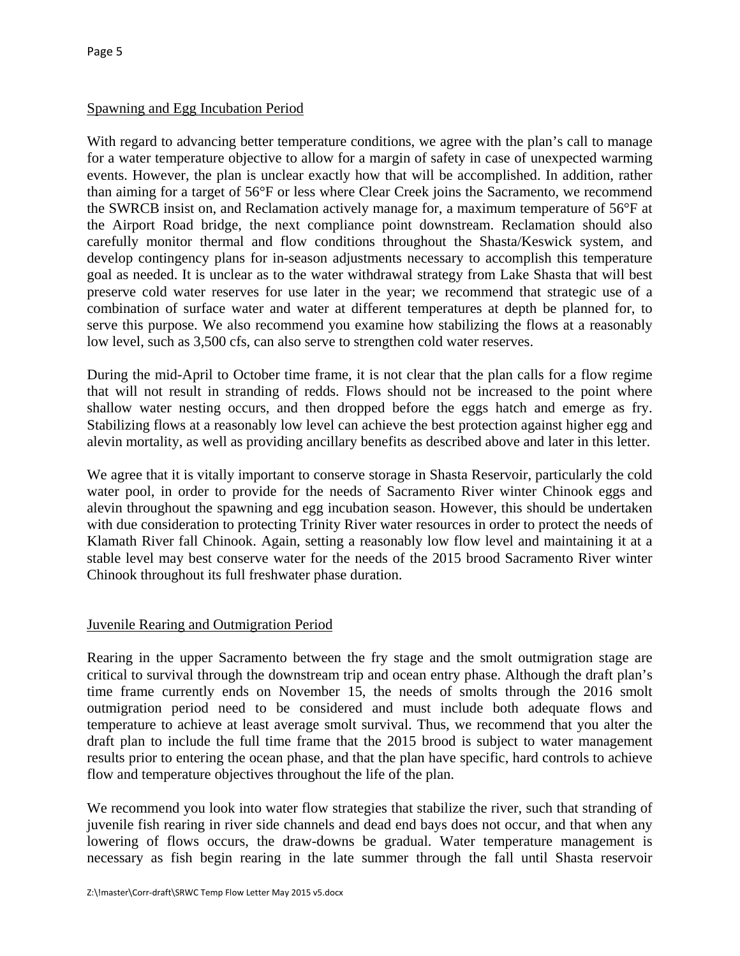# Spawning and Egg Incubation Period

With regard to advancing better temperature conditions, we agree with the plan's call to manage for a water temperature objective to allow for a margin of safety in case of unexpected warming events. However, the plan is unclear exactly how that will be accomplished. In addition, rather than aiming for a target of 56°F or less where Clear Creek joins the Sacramento, we recommend the SWRCB insist on, and Reclamation actively manage for, a maximum temperature of 56°F at the Airport Road bridge, the next compliance point downstream. Reclamation should also carefully monitor thermal and flow conditions throughout the Shasta/Keswick system, and develop contingency plans for in-season adjustments necessary to accomplish this temperature goal as needed. It is unclear as to the water withdrawal strategy from Lake Shasta that will best preserve cold water reserves for use later in the year; we recommend that strategic use of a combination of surface water and water at different temperatures at depth be planned for, to serve this purpose. We also recommend you examine how stabilizing the flows at a reasonably low level, such as 3,500 cfs, can also serve to strengthen cold water reserves.

During the mid-April to October time frame, it is not clear that the plan calls for a flow regime that will not result in stranding of redds. Flows should not be increased to the point where shallow water nesting occurs, and then dropped before the eggs hatch and emerge as fry. Stabilizing flows at a reasonably low level can achieve the best protection against higher egg and alevin mortality, as well as providing ancillary benefits as described above and later in this letter.

We agree that it is vitally important to conserve storage in Shasta Reservoir, particularly the cold water pool, in order to provide for the needs of Sacramento River winter Chinook eggs and alevin throughout the spawning and egg incubation season. However, this should be undertaken with due consideration to protecting Trinity River water resources in order to protect the needs of Klamath River fall Chinook. Again, setting a reasonably low flow level and maintaining it at a stable level may best conserve water for the needs of the 2015 brood Sacramento River winter Chinook throughout its full freshwater phase duration.

# Juvenile Rearing and Outmigration Period

Rearing in the upper Sacramento between the fry stage and the smolt outmigration stage are critical to survival through the downstream trip and ocean entry phase. Although the draft plan's time frame currently ends on November 15, the needs of smolts through the 2016 smolt outmigration period need to be considered and must include both adequate flows and temperature to achieve at least average smolt survival. Thus, we recommend that you alter the draft plan to include the full time frame that the 2015 brood is subject to water management results prior to entering the ocean phase, and that the plan have specific, hard controls to achieve flow and temperature objectives throughout the life of the plan.

We recommend you look into water flow strategies that stabilize the river, such that stranding of juvenile fish rearing in river side channels and dead end bays does not occur, and that when any lowering of flows occurs, the draw-downs be gradual. Water temperature management is necessary as fish begin rearing in the late summer through the fall until Shasta reservoir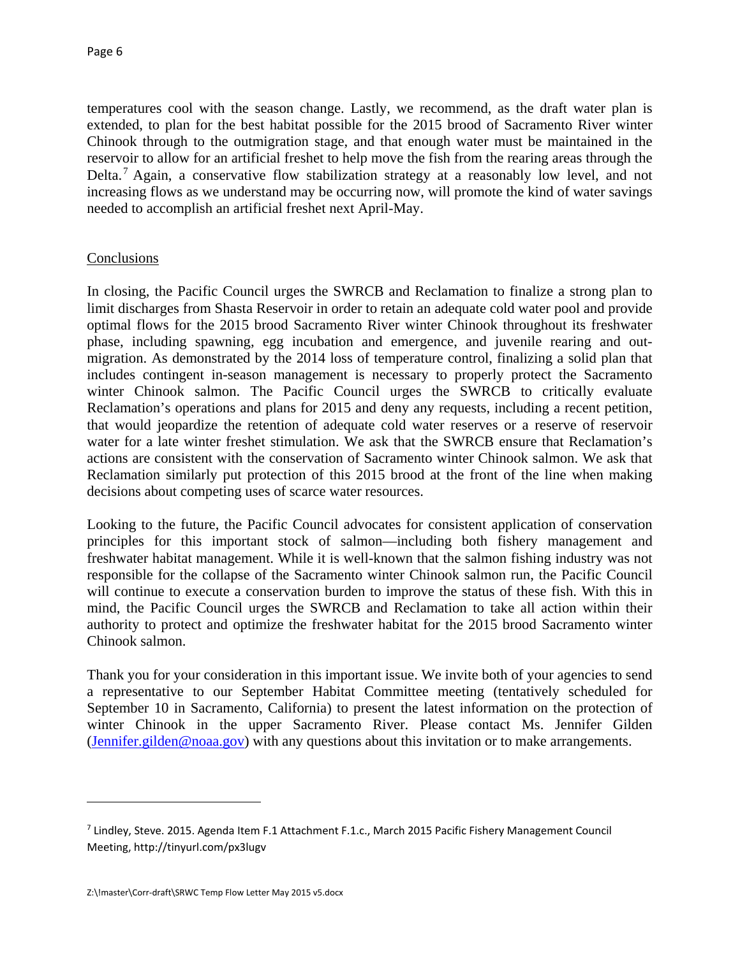temperatures cool with the season change. Lastly, we recommend, as the draft water plan is extended, to plan for the best habitat possible for the 2015 brood of Sacramento River winter Chinook through to the outmigration stage, and that enough water must be maintained in the reservoir to allow for an artificial freshet to help move the fish from the rearing areas through the Delta.7 Again, a conservative flow stabilization strategy at a reasonably low level, and not increasing flows as we understand may be occurring now, will promote the kind of water savings needed to accomplish an artificial freshet next April-May.

### Conclusions

In closing, the Pacific Council urges the SWRCB and Reclamation to finalize a strong plan to limit discharges from Shasta Reservoir in order to retain an adequate cold water pool and provide optimal flows for the 2015 brood Sacramento River winter Chinook throughout its freshwater phase, including spawning, egg incubation and emergence, and juvenile rearing and outmigration. As demonstrated by the 2014 loss of temperature control, finalizing a solid plan that includes contingent in-season management is necessary to properly protect the Sacramento winter Chinook salmon. The Pacific Council urges the SWRCB to critically evaluate Reclamation's operations and plans for 2015 and deny any requests, including a recent petition, that would jeopardize the retention of adequate cold water reserves or a reserve of reservoir water for a late winter freshet stimulation. We ask that the SWRCB ensure that Reclamation's actions are consistent with the conservation of Sacramento winter Chinook salmon. We ask that Reclamation similarly put protection of this 2015 brood at the front of the line when making decisions about competing uses of scarce water resources.

Looking to the future, the Pacific Council advocates for consistent application of conservation principles for this important stock of salmon—including both fishery management and freshwater habitat management. While it is well-known that the salmon fishing industry was not responsible for the collapse of the Sacramento winter Chinook salmon run, the Pacific Council will continue to execute a conservation burden to improve the status of these fish. With this in mind, the Pacific Council urges the SWRCB and Reclamation to take all action within their authority to protect and optimize the freshwater habitat for the 2015 brood Sacramento winter Chinook salmon.

Thank you for your consideration in this important issue. We invite both of your agencies to send a representative to our September Habitat Committee meeting (tentatively scheduled for September 10 in Sacramento, California) to present the latest information on the protection of winter Chinook in the upper Sacramento River. Please contact Ms. Jennifer Gilden (Jennifer.gilden@noaa.gov) with any questions about this invitation or to make arrangements.

<sup>&</sup>lt;sup>7</sup> Lindley, Steve. 2015. Agenda Item F.1 Attachment F.1.c., March 2015 Pacific Fishery Management Council Meeting, http://tinyurl.com/px3lugv